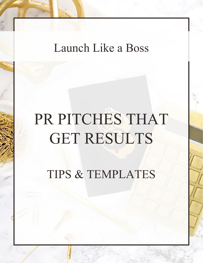## Launch Like a Boss

# PR PITCHES THAT GET RESULTS

TIPS & TEMPLATES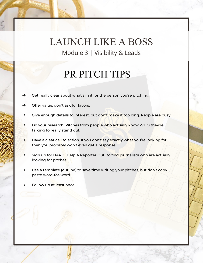#### PR PITCH TIPS

- $\rightarrow$  Get really clear about what's in it for the person you're pitching.
- → Offer value, don't ask for favors.
- → Give enough details to interest, but don't make it too long. People are busy!
- → Do your research. Pitches from people who actually know WHO they're talking to really stand out.
- → Have a clear call to action. If you don't say exactly what you're looking for, then you probably won't even get a response.
- → Sign up for HARO (Help A Reporter Out) to find journalists who are actually looking for pitches.
- → Use a template (outline) to save time writing your pitches, but don't copy + paste word-for-word.
- Follow up at least once.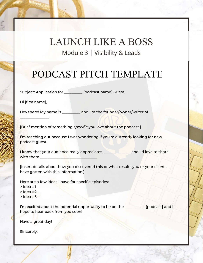## PODCAST PITCH TEMPLATE

Subject: Application for \_\_\_\_\_\_\_\_\_\_ [podcast name] Guest

Hi [first name],

 $\blacksquare$ 

Hey there! My name is \_\_\_\_\_\_\_\_\_\_ and I'm the founder/owner/writer of

[Brief mention of something *specific* you love about the podcast.]

I'm reaching out because I was wondering if you're currently looking for new podcast guest.

I know that your audience really appreciates \_\_\_\_\_\_\_\_\_\_\_\_\_\_\_ and I'd love to share with them

[Insert details about how you discovered this or what results you or your clients have gotten with this information.]

Here are a few ideas I have for specific episodes:

- > Idea #1
- > Idea #2
- > Idea #3

I'm excited about the potential opportunity to be on the  $\Box$  [podcast] and I hope to hear back from you soon!

Have a great day!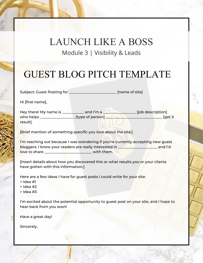## GUEST BLOG PITCH TEMPLATE

Subject: Guest Posting for \_\_\_\_\_\_\_\_\_\_\_\_\_\_\_\_\_\_\_\_\_\_\_\_\_\_\_\_\_ [name of site]

Hi [first name],

Hey there! My name is \_\_\_\_\_\_\_\_\_\_\_\_\_ and I'm a \_\_\_\_\_\_\_\_\_\_\_\_\_\_\_\_\_\_\_\_\_\_\_\_\_\_\_\_\_\_\_\_\_\_ [job description] who helps \_\_\_\_\_\_\_\_\_\_\_\_\_\_\_\_\_\_\_ [type of person] \_\_\_\_\_\_\_\_\_\_\_\_\_\_\_\_\_\_\_\_\_\_\_\_\_\_\_\_\_\_\_ [get X result].

[Brief mention of something *specific* you love about the site.]

I'm reaching out because I was wondering if you're currently accepting new guest bloggers. I know your readers are really interested in \_\_\_\_\_\_\_\_\_\_\_\_\_\_\_\_\_\_\_\_\_, and I'd love to share **the set of the set of the set of the set of the set of the set of the set of the set of the set o** 

[Insert details about how you discovered this or what results you or your clients have gotten with this information.]

Here are a few ideas I have for guest posts I could write for your site:

- > Idea #1
- > Idea #2
- > Idea #3

I'm excited about the potential opportunity to guest post on your site, and I hope to hear back from you soon!

Have a great day!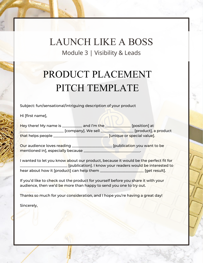## PRODUCT PLACEMENT PITCH TEMPLATE

Subject: fun/sensational/intriguing description of your product

Hi [first name],

| Hey there! My name is | and I'm the $\overline{\phantom{a}}$ | [position] at              |  |
|-----------------------|--------------------------------------|----------------------------|--|
|                       | [company]. We sell                   | [product], a product]      |  |
| that helps people     |                                      | [unique or special value]. |  |

Our audience loves reading \_\_\_\_\_\_\_\_\_\_\_\_\_\_\_\_\_\_\_\_\_\_ [publication you want to be mentioned in], especially because

I wanted to let you know about our product, because it would be the perfect fit for \_\_\_\_\_\_\_\_\_\_\_\_\_\_\_\_\_\_\_\_\_\_\_\_\_\_ [publication]. I know your readers would be interested to hear about how it [product] can help them \_\_\_\_\_\_\_\_\_\_\_\_\_\_\_\_\_\_\_\_\_\_\_\_ [get result].

If you'd like to check out the product for yourself before you share it with your audience, then we'd be more than happy to send you one to try out.

Thanks so much for your consideration, and I hope you're having a great day!